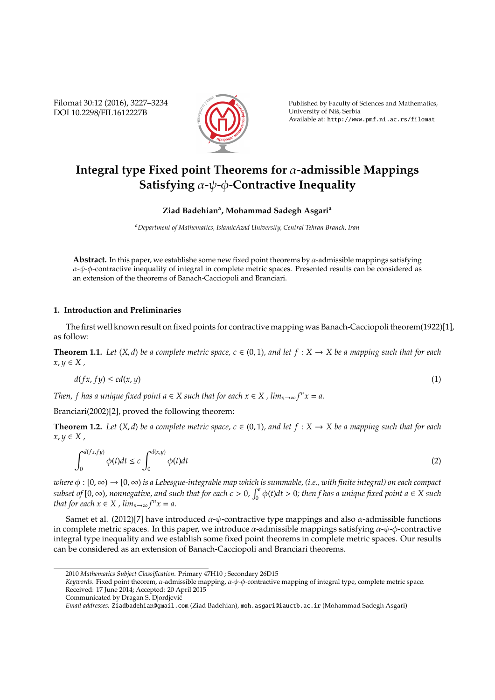Filomat 30:12 (2016), 3227–3234 DOI 10.2298/FIL1612227B



Published by Faculty of Sciences and Mathematics, University of Niš, Serbia Available at: http://www.pmf.ni.ac.rs/filomat

# **Integral type Fixed point Theorems for** α**-admissible Mappings Satisfying** α**-**ψ**-**φ**-Contractive Inequality**

**Ziad Badehian<sup>a</sup> , Mohammad Sadegh Asgari<sup>a</sup>**

*<sup>a</sup>Department of Mathematics, IslamicAzad University, Central Tehran Branch, Iran*

**Abstract.** In this paper, we establishe some new fixed point theorems by  $\alpha$ -admissible mappings satisfying  $\alpha$ - $\psi$ - $\phi$ -contractive inequality of integral in complete metric spaces. Presented results can be considered as an extension of the theorems of Banach-Cacciopoli and Branciari.

### **1. Introduction and Preliminaries**

The first well known result on fixed points for contractive mapping was Banach-Cacciopoli theorem(1922)[1], as follow:

**Theorem 1.1.** Let  $(X, d)$  be a complete metric space,  $c \in (0, 1)$ , and let  $f : X \to X$  be a mapping such that for each  $x, y \in X$ ,

$$
d(fx, fy) \le cd(x, y) \tag{1}
$$

*Then, f has a unique fixed point a*  $\in$  *X such that for each x*  $\in$  *X , lim*<sub>*n*→∞</sub>  $f<sup>n</sup>x = a$ *.* 

Branciari(2002)[2], proved the following theorem:

**Theorem 1.2.** *Let*  $(X, d)$  *be a complete metric space,*  $c \in (0, 1)$ *, and let*  $f : X \rightarrow X$  *be a mapping such that for each*  $x, y \in X$ ,

$$
\int_0^{d(fx, fy)} \phi(t)dt \le c \int_0^{d(x,y)} \phi(t)dt
$$
\n(2)

*where* φ : [0, ∞) → [0, ∞) *is a Lebesgue-integrable map which is summable, (i.e., with finite integral) on each compact*  $subset$  of  $[0, \infty)$ , nonnegative, and such that for each  $\epsilon > 0$ ,  $\int_0^{\epsilon} \phi(t)dt > 0$ ; then f has a unique fixed point  $a \in X$  such *that for each*  $x \in X$ ,  $\lim_{n \to \infty} f^n x = a$ .

Samet et al. (2012)[7] have introduced  $\alpha$ -ψ-contractive type mappings and also  $\alpha$ -admissible functions in complete metric spaces. In this paper, we introduce  $\alpha$ -admissible mappings satisfying  $\alpha$ - $\psi$ - $\phi$ -contractive integral type inequality and we establish some fixed point theorems in complete metric spaces. Our results can be considered as an extension of Banach-Cacciopoli and Branciari theorems.

<sup>2010</sup> *Mathematics Subject Classification*. Primary 47H10 ; Secondary 26D15

*Keywords*. Fixed point theorem, α-admissible mapping, α-ψ-φ-contractive mapping of integral type, complete metric space. Received: 17 June 2014; Accepted: 20 April 2015

Communicated by Dragan S. Djordjevic´

*Email addresses:* Ziadbadehian@gmail.com (Ziad Badehian), moh.asgari@iauctb.ac.ir (Mohammad Sadegh Asgari)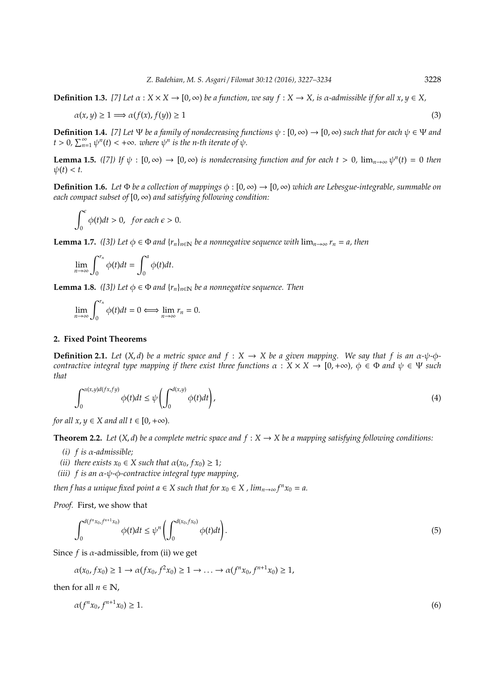**Definition 1.3.** [7] Let  $\alpha : X \times X \to [0, \infty)$  be a function, we say  $f : X \to X$ , is  $\alpha$ -admissible if for all  $x, y \in X$ ,

$$
\alpha(x, y) \ge 1 \Longrightarrow \alpha(f(x), f(y)) \ge 1 \tag{3}
$$

**Definition 1.4.** [7] Let  $\Psi$  be a family of nondecreasing functions  $\psi : [0, \infty) \to [0, \infty)$  such that for each  $\psi \in \Psi$  and  $t > 0$ ,  $\sum_{n=1}^{\infty} \psi^n(t) < +\infty$ *. where*  $\psi^n$  *is the n-th iterate of*  $\psi$ *.* 

**Lemma 1.5.** *([7])* If  $\psi$  :  $[0, \infty) \to [0, \infty)$  is nondecreasing function and for each  $t > 0$ ,  $\lim_{n \to \infty} \psi^n(t) = 0$  then  $\psi(t) < t$ .

**Definition 1.6.** *Let*  $\Phi$  *be a collection of mappings*  $\phi$  :  $[0, \infty) \to [0, \infty)$  *which are Lebesgue-integrable, summable on each compact subset of* [0, ∞) *and satisfying following condition:*

$$
\int_0^{\epsilon} \phi(t)dt > 0, \text{ for each } \epsilon > 0.
$$

**Lemma 1.7.** *([3])* Let  $\phi \in \Phi$  *and*  $\{r_n\}_{n\in\mathbb{N}}$  be a nonnegative sequence with  $\lim_{n\to\infty} r_n = a$ , then

$$
\lim_{n\to\infty}\int_0^{r_n}\phi(t)dt=\int_0^a\phi(t)dt.
$$

**Lemma 1.8.** *([3])* Let  $\phi \in \Phi$  *and*  $\{r_n\}_{n \in \mathbb{N}}$  be a nonnegative sequence. Then

$$
\lim_{n\to\infty}\int_0^{r_n}\phi(t)dt=0\Longleftrightarrow \lim_{n\to\infty}r_n=0.
$$

### **2. Fixed Point Theorems**

**Definition 2.1.** *Let*  $(X, d)$  *be a metric space and*  $f : X \to X$  *be a given mapping. We say that*  $f$  *is an*  $\alpha$ - $\psi$ - $\phi$ *contractive integral type mapping if there exist three functions*  $\alpha : X \times X \to [0, +\infty)$ ,  $\phi \in \Phi$  *and*  $\psi \in \Psi$  *such that*

$$
\int_0^{\alpha(x,y)d(fx,fy)} \phi(t)dt \le \psi\left(\int_0^{d(x,y)} \phi(t)dt\right),\tag{4}
$$

*for all x*,  $y \in X$  *and all t*  $\in [0, +\infty)$ *.* 

**Theorem 2.2.** *Let*  $(X, d)$  *be a complete metric space and*  $f : X \rightarrow X$  *be a mapping satisfying following conditions:* 

- *(i) f is* α*-admissible;*
- *(ii)* there exists  $x_0 \in X$  such that  $\alpha(x_0, fx_0) \geq 1$ *;*
- *(iii) f is an* α*-*ψ*-*φ*-contractive integral type mapping,*

*then f has a unique fixed point a*  $\in$  *X such that for*  $x_0 \in X$  *, lim*<sub>*n*→∞</sub>  $f^n x_0 = a$ .

*Proof.* First, we show that

$$
\int_0^{d(f^n x_0, f^{n+1} x_0)} \phi(t) dt \le \psi^n \left( \int_0^{d(x_0, f x_0)} \phi(t) dt \right).
$$
\n(5)

Since  $f$  is  $\alpha$ -admissible, from (ii) we get

 $\alpha(x_0, fx_0) \ge 1 \to \alpha(fx_0, f^2x_0) \ge 1 \to \dots \to \alpha(f^nx_0, f^{n+1}x_0) \ge 1,$ 

then for all  $n \in \mathbb{N}$ ,

$$
\alpha(f^n x_0, f^{n+1} x_0) \ge 1. \tag{6}
$$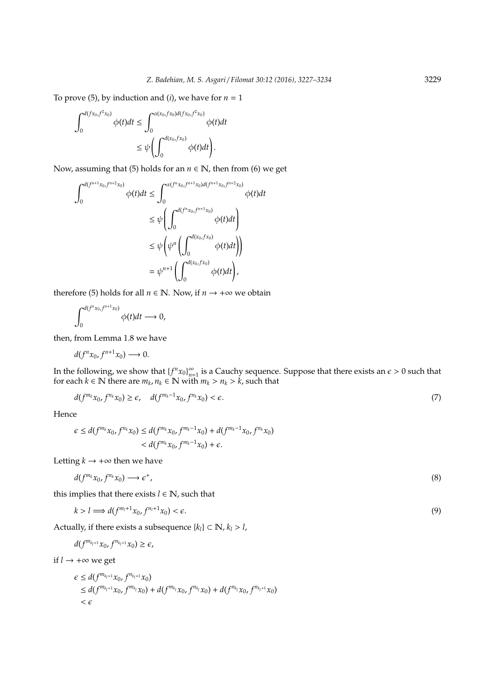To prove (5), by induction and (*i*), we have for  $n = 1$ 

$$
\begin{split} \int_0^{d(fx_0,f^2x_0)}\phi(t)dt &\leq \int_0^{\alpha(x_0,fx_0)d(fx_0,f^2x_0)}\phi(t)dt\\ &\leq \psi\left(\int_0^{d(x_0,fx_0)}\phi(t)dt\right). \end{split}
$$

Now, assuming that (5) holds for an  $n \in \mathbb{N}$ , then from (6) we get

$$
\int_{0}^{d(f^{n+1}x_0, f^{n+2}x_0)} \phi(t)dt \leq \int_{0}^{\alpha(f^n x_0, f^{n+1}x_0) d(f^{n+1}x_0, f^{n+2}x_0)} \phi(t)dt
$$
  

$$
\leq \psi \left( \int_{0}^{d(f^n x_0, f^{n+1}x_0)} \phi(t)dt \right)
$$
  

$$
\leq \psi \left( \psi^n \left( \int_{0}^{d(x_0, fx_0)} \phi(t)dt \right) \right)
$$
  

$$
= \psi^{n+1} \left( \int_{0}^{d(x_0, fx_0)} \phi(t)dt \right),
$$

therefore (5) holds for all  $n \in \mathbb{N}$ . Now, if  $n \to +\infty$  we obtain

$$
\int_0^{d(f^n x_0, f^{n+1} x_0)} \phi(t) dt \longrightarrow 0,
$$

then, from Lemma 1.8 we have

$$
d(f^{n}x_0, f^{n+1}x_0) \longrightarrow 0.
$$

In the following, we show that  ${f^n x_0}_{n=0}^{\infty}$  $\sum_{n=1}^{\infty}$  is a Cauchy sequence. Suppose that there exists an  $\epsilon > 0$  such that for each  $k \in \mathbb{N}$  there are  $m_k$ ,  $n_k \in \mathbb{N}$  with  $m_k > n_k > k$ , such that

$$
d(f^{m_k}x_0, f^{n_k}x_0) \ge \epsilon, \quad d(f^{m_k-1}x_0, f^{n_k}x_0) < \epsilon. \tag{7}
$$

Hence

$$
\epsilon \leq d(f^{m_k}x_0, f^{n_k}x_0) \leq d(f^{m_k}x_0, f^{m_k-1}x_0) + d(f^{m_k-1}x_0, f^{n_k}x_0)
$$
  

$$
< d(f^{m_k}x_0, f^{m_k-1}x_0) + \epsilon.
$$

Letting  $k \rightarrow +\infty$  then we have

$$
d(f^{m_k}x_0, f^{n_k}x_0) \longrightarrow \epsilon^+, \tag{8}
$$

this implies that there exists  $l \in \mathbb{N}$ , such that

$$
k > l \Longrightarrow d(f^{m_l+1}x_0, f^{n_l+1}x_0) < \epsilon. \tag{9}
$$

Actually, if there exists a subsequence  ${k_l} \subset \mathbb{N}$ ,  ${k_l} > l$ ,

$$
d(f^{m_{k_l+1}}x_0, f^{n_{k_l+1}}x_0) \geq \epsilon,
$$

if  $l \rightarrow +\infty$  we get

$$
\\\epsilon \leq d(f^{m_{k_l+1}}x_0, f^{n_{k_l+1}}x_0) \leq d(f^{m_{k_l+1}}x_0, f^{m_{k_l}}x_0) + d(f^{m_{k_l}}x_0, f^{n_{k_l}}x_0) + d(f^{n_{k_l}}x_0, f^{n_{k_l+1}}x_0) < \epsilon
$$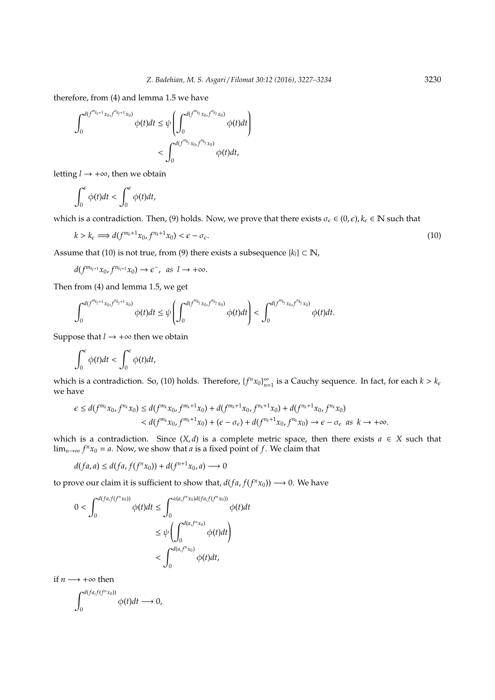therefore, from (4) and lemma 1.5 we have

$$
\int_0^{d(f^{m_{k_1+1}}x_0, f^{n_{k_1+1}}x_0)} \phi(t)dt \leq \psi \left( \int_0^{d(f^{m_{k_1}}x_0, f^{n_{k_1}}x_0)} \phi(t)dt \right)
$$
  
< 
$$
< \int_0^{d(f^{m_{k_1}}x_0, f^{n_{k_1}}x_0)} \phi(t)dt,
$$

letting  $l \rightarrow +\infty$ , then we obtain

$$
\int_0^{\epsilon} \phi(t)dt < \int_0^{\epsilon} \phi(t)dt,
$$

which is a contradiction. Then, (9) holds. Now, we prove that there exists  $\sigma_{\epsilon} \in (0,\epsilon)$ ,  $k_{\epsilon} \in \mathbb{N}$  such that

$$
k > k_{\epsilon} \Longrightarrow d(f^{m_k+1}x_0, f^{n_k+1}x_0) < \epsilon - \sigma_{\epsilon}.\tag{10}
$$

Assume that (10) is not true, from (9) there exists a subsequence  ${k_l} \subset \mathbb{N}$ ,

 $d(f^{m_{k_l+1}}x_0, f^{n_{k_l+1}}x_0) \rightarrow \epsilon^-, \text{ as } l \rightarrow +\infty.$ 

Then from (4) and lemma 1.5, we get

$$
\int_0^{d(f^{m_{k_1+1}}x_0, f^{n_{k_1+1}}x_0)} \phi(t)dt \leq \psi \left(\int_0^{d(f^{m_{k_1}}x_0, f^{n_{k_1}}x_0)} \phi(t)dt\right) < \int_0^{d(f^{m_{k_1}}x_0, f^{n_{k_1}}x_0)} \phi(t)dt.
$$

Suppose that  $l \rightarrow +\infty$  then we obtain

$$
\int_0^{\epsilon} \phi(t)dt < \int_0^{\epsilon} \phi(t)dt,
$$

which is a contradiction. So, (10) holds. Therefore,  ${f^m x_0}_{n=0}^{\infty}$  $\sum_{n=1}^{\infty}$  is a Cauchy sequence. In fact, for each  $k > k_{\epsilon}$ we have

$$
\epsilon \leq d(f^{m_k}x_0, f^{n_k}x_0) \leq d(f^{m_k}x_0, f^{m_k+1}x_0) + d(f^{m_k+1}x_0, f^{n_k+1}x_0) + d(f^{n_k+1}x_0, f^{n_k}x_0)
$$
  

$$
< d(f^{m_k}x_0, f^{m_k+1}x_0) + (\epsilon - \sigma_{\epsilon}) + d(f^{n_k+1}x_0, f^{n_k}x_0) \to \epsilon - \sigma_{\epsilon} \text{ as } k \to +\infty.
$$

which is a contradiction. Since  $(X, d)$  is a complete metric space, then there exists  $a \in X$  such that lim<sub>*n*→∞</sub>  $f^n x_0 = a$ . Now, we show that *a* is a fixed point of *f*. We claim that

$$
d(fa,a) \leq d(fa, f(f^n x_0)) + d(f^{n+1} x_0, a) \longrightarrow 0
$$

to prove our claim it is sufficient to show that,  $d(fa, f(f^n x_0)) \longrightarrow 0$ . We have

$$
0 < \int_0^{d(fa, f(f^n x_0))} \phi(t)dt \le \int_0^{\alpha(a, f^n x_0)d(fa, f(f^n x_0))} \phi(t)dt
$$
\n
$$
\le \psi \left( \int_0^{d(a, f^n x_0)} \phi(t)dt \right)
$$
\n
$$
< \int_0^{d(a, f^n x_0)} \phi(t)dt,
$$

if  $n \rightarrow +\infty$  then

$$
\int_0^{d(fa,f(f^nx_0))}\phi(t)dt\longrightarrow 0,
$$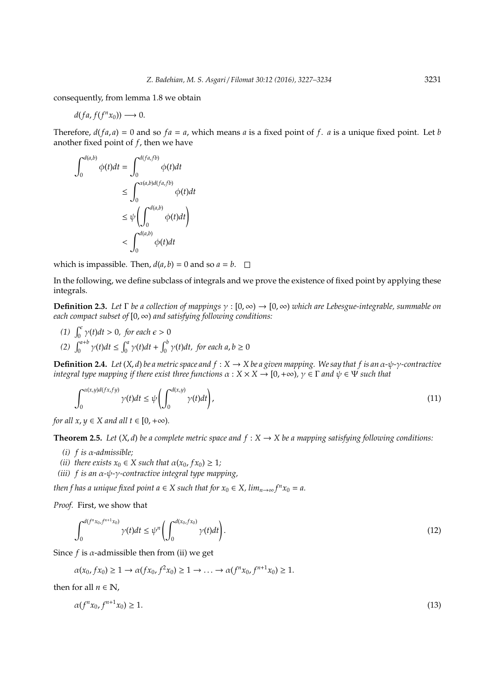consequently, from lemma 1.8 we obtain

 $d(fa, f(f^n x_0)) \longrightarrow 0.$ 

Therefore,  $d(fa, a) = 0$  and so  $fa = a$ , which means *a* is a fixed point of *f*. *a* is a unique fixed point. Let *b* another fixed point of *f*, then we have

$$
\int_0^{d(a,b)} \phi(t)dt = \int_0^{d(fa,fb)} \phi(t)dt
$$
  
\n
$$
\leq \int_0^{\alpha(a,b)d(fa,fb)} \phi(t)dt
$$
  
\n
$$
\leq \psi \left( \int_0^{d(a,b)} \phi(t)dt \right)
$$
  
\n
$$
< \int_0^{d(a,b)} \phi(t)dt
$$

which is impassible. Then,  $d(a, b) = 0$  and so  $a = b$ .

In the following, we define subclass of integrals and we prove the existence of fixed point by applying these integrals.

**Definition 2.3.** *Let* Γ *be a collection of mappings* γ : [0, ∞) → [0, ∞) *which are Lebesgue-integrable, summable on each compact subset of* [0, ∞) *and satisfying following conditions:*

(1)  $\int_0^{\epsilon} \gamma(t) dt > 0$ , for each  $\epsilon > 0$ *(2)*  $\int_0^{a+b} \gamma(t)dt \le \int_0^a \gamma(t)dt + \int_0^b \gamma(t)dt$ , for each  $a, b \ge 0$ 

**Definition 2.4.** *Let* (*X*, *d*) *be a metric space and f* : *X* → *X be a given mapping. We say that f is an* α*-*ψ*-*γ*-contractive integral type mapping if there exist three functions*  $\alpha : X \times X \to [0, +\infty)$ ,  $\gamma \in \Gamma$  *and*  $\psi \in \Psi$  *such that* 

$$
\int_0^{\alpha(x,y)d(fx, fy)} \gamma(t)dt \le \psi\left(\int_0^{d(x,y)} \gamma(t)dt\right),\tag{11}
$$

*for all*  $x, y \in X$  *and all*  $t \in [0, +\infty)$ *.* 

**Theorem 2.5.** *Let*  $(X, d)$  *be a complete metric space and*  $f : X \rightarrow X$  *be a mapping satisfying following conditions:* 

- *(i) f is* α*-admissible;*
- *(ii)* there exists  $x_0 \in X$  such that  $\alpha(x_0, fx_0) \geq 1$ *;*
- *(iii) f is an* α*-*ψ*-*γ*-contractive integral type mapping,*

*then f has a unique fixed point a*  $\in$  *X such that for*  $x_0 \in X$ *, lim*<sub>*n*→∞</sub>  $f^n x_0 = a$ .

*Proof.* First, we show that

$$
\int_0^{d(f^n x_0, f^{n+1} x_0)} \gamma(t) dt \leq \psi^n \left( \int_0^{d(x_0, f x_0)} \gamma(t) dt \right). \tag{12}
$$

Since  $f$  is  $\alpha$ -admissible then from (ii) we get

 $\alpha(x_0, fx_0) \ge 1 \to \alpha(fx_0, f^2x_0) \ge 1 \to \dots \to \alpha(f^nx_0, f^{n+1}x_0) \ge 1.$ 

then for all  $n \in \mathbb{N}$ .

$$
\alpha(f^n x_0, f^{n+1} x_0) \ge 1. \tag{13}
$$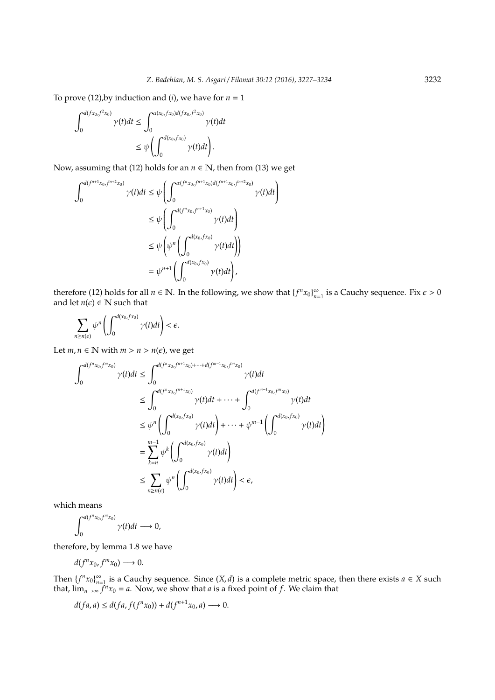To prove (12),by induction and (*i*), we have for  $n = 1$ 

$$
\int_0^{d(fx_0,f^2x_0)} \gamma(t)dt \leq \int_0^{\alpha(x_0,fx_0)d(fx_0,f^2x_0)} \gamma(t)dt
$$
  

$$
\leq \psi \left( \int_0^{d(x_0,fx_0)} \gamma(t)dt \right).
$$

Now, assuming that (12) holds for an  $n \in \mathbb{N}$ , then from (13) we get

$$
\int_0^{d(f^{n+1}x_0, f^{n+2}x_0)} \gamma(t)dt \leq \psi \left( \int_0^{\alpha(f^n x_0, f^{n+1}x_0) d(f^{n+1}x_0, f^{n+2}x_0)} \gamma(t)dt \right)
$$
  

$$
\leq \psi \left( \int_0^{d(f^n x_0, f^{n+1}x_0)} \gamma(t)dt \right)
$$
  

$$
\leq \psi \left( \psi^n \left( \int_0^{d(x_0, fx_0)} \gamma(t)dt \right) \right)
$$
  

$$
= \psi^{n+1} \left( \int_0^{d(x_0, fx_0)} \gamma(t)dt \right),
$$

therefore (12) holds for all  $n \in \mathbb{N}$ . In the following, we show that  ${f^n x_0}_{n=0}^{\infty}$  $\sum_{n=1}^{\infty}$  is a Cauchy sequence. Fix  $\epsilon > 0$ and let  $n(\epsilon) \in \mathbb{N}$  such that

$$
\sum_{n\geq n(\epsilon)}\psi^n\left(\int_0^{d(x_0,fx_0)}\gamma(t)dt\right)<\epsilon.
$$

Let  $m, n \in \mathbb{N}$  with  $m > n > n(\epsilon)$ , we get

$$
\int_{0}^{d(f^{n}x_{0},f^{m}x_{0})} \gamma(t)dt \leq \int_{0}^{d(f^{n}x_{0},f^{n+1}x_{0})+\cdots+d(f^{m-1}x_{0},f^{m}x_{0})} \gamma(t)dt
$$
\n
$$
\leq \int_{0}^{d(f^{n}x_{0},f^{n+1}x_{0})} \gamma(t)dt + \cdots + \int_{0}^{d(f^{m-1}x_{0},f^{m}x_{0})} \gamma(t)dt
$$
\n
$$
\leq \psi^{n} \left( \int_{0}^{d(x_{0},fx_{0})} \gamma(t)dt \right) + \cdots + \psi^{m-1} \left( \int_{0}^{d(x_{0},fx_{0})} \gamma(t)dt \right)
$$
\n
$$
= \sum_{k=n}^{m-1} \psi^{k} \left( \int_{0}^{d(x_{0},fx_{0})} \gamma(t)dt \right)
$$
\n
$$
\leq \sum_{n \geq n(\epsilon)} \psi^{n} \left( \int_{0}^{d(x_{0},fx_{0})} \gamma(t)dt \right) < \epsilon,
$$

which means

$$
\int_0^{d(f^nx_0, f^mx_0)} \gamma(t) dt \longrightarrow 0,
$$

therefore, by lemma 1.8 we have

 $d(f^n x_0, f^m x_0) \longrightarrow 0.$ 

Then  ${f^n x_0}_{n=0}^{\infty}$  $\sum_{n=1}^{\infty}$  is a Cauchy sequence. Since  $(X, d)$  is a complete metric space, then there exists  $a \in X$  such that,  $\lim_{n\to\infty} \hat{f}^n x_0 = a$ . Now, we show that *a* is a fixed point of *f*. We claim that

$$
d(fa,a) \leq d(fa, f(f^n x_0)) + d(f^{n+1} x_0, a) \longrightarrow 0.
$$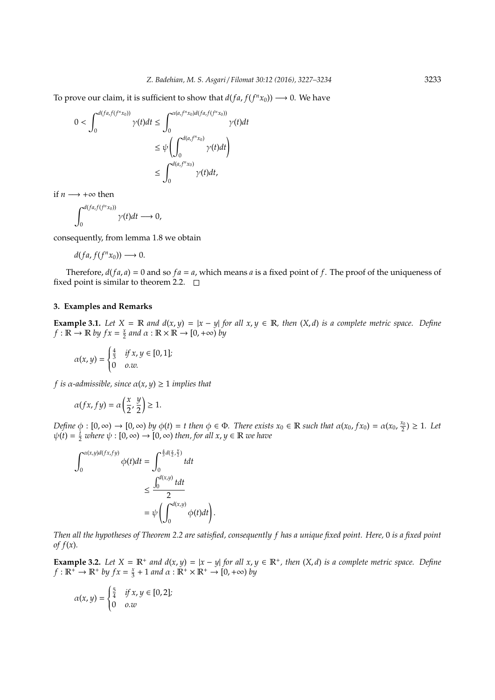To prove our claim, it is sufficient to show that  $d(fa, f(f^n x_0)) \longrightarrow 0$ . We have

$$
0 < \int_0^{d(fa, f(f^n x_0))} \gamma(t)dt \le \int_0^{\alpha(a, f^n x_0)d(fa, f(f^n x_0))} \gamma(t)dt
$$
\n
$$
\le \psi \left( \int_0^{d(a, f^n x_0)} \gamma(t)dt \right)
$$
\n
$$
\le \int_0^{d(a, f^n x_0)} \gamma(t)dt,
$$

if  $n \rightarrow +\infty$  then

$$
\int_0^{d(fa,f(f^n x_0))} \gamma(t)dt \longrightarrow 0,
$$

consequently, from lemma 1.8 we obtain

$$
d(fa,f(f^nx_0))\longrightarrow 0.
$$

Therefore,  $d(fa, a) = 0$  and so  $fa = a$ , which means *a* is a fixed point of *f*. The proof of the uniqueness of fixed point is similar to theorem 2.2.  $\square$ 

# **3. Examples and Remarks**

**Example 3.1.** *Let*  $X = \mathbb{R}$  *and*  $d(x, y) = |x - y|$  *for all*  $x, y \in \mathbb{R}$ *, then*  $(X, d)$  *is a complete metric space. Define*  $f : \mathbb{R} \to \mathbb{R}$  *by*  $fx = \frac{x}{2}$  and  $\alpha : \mathbb{R} \times \mathbb{R} \to [0, +\infty)$  *by* 

$$
\alpha(x, y) = \begin{cases} \frac{4}{3} & \text{if } x, y \in [0, 1]; \\ 0 & \text{o.w.} \end{cases}
$$

*f* is  $\alpha$ -admissible, since  $\alpha(x, y) \geq 1$  *implies that* 

$$
\alpha(fx, fy) = \alpha\left(\frac{x}{2}, \frac{y}{2}\right) \ge 1.
$$

*Define*  $\phi : [0, \infty) \to [0, \infty)$  *by*  $\phi(t) = t$  *then*  $\phi \in \Phi$ *. There exists*  $x_0 \in \mathbb{R}$  *such that*  $\alpha(x_0, fx_0) = \alpha(x_0, \frac{x_0}{2}) \ge 1$ *. Let*  $\psi(t) = \frac{t}{2}$  *where*  $\psi : [0, \infty) \to [0, \infty)$  *then, for all x, y*  $\in \mathbb{R}$  *we have* 

$$
\int_0^{\alpha(x,y)d(fx, fy)} \phi(t)dt = \int_0^{\frac{4}{3}d(\frac{x}{2}, \frac{y}{2})} tdt
$$
  

$$
\leq \frac{\int_0^{d(x,y)} tdt}{2}
$$
  

$$
= \psi \left( \int_0^{d(x,y)} \phi(t)dt \right)
$$

*Then all the hypotheses of Theorem 2.2 are satisfied, consequently f has a unique fixed point. Here,* 0 *is a fixed point of f*(*x*)*.*

.

**Example 3.2.** Let  $X = \mathbb{R}^+$  and  $d(x, y) = |x - y|$  for all  $x, y \in \mathbb{R}^+$ , then  $(X, d)$  is a complete metric space. Define  $f: \mathbb{R}^+ \to \mathbb{R}^+$  *by*  $fx = \frac{x}{3} + 1$  *and*  $\alpha: \mathbb{R}^+ \times \mathbb{R}^+ \to [0, +\infty)$  *by* 

$$
\alpha(x, y) = \begin{cases} \frac{5}{4} & \text{if } x, y \in [0, 2]; \\ 0 & \text{o.w} \end{cases}
$$